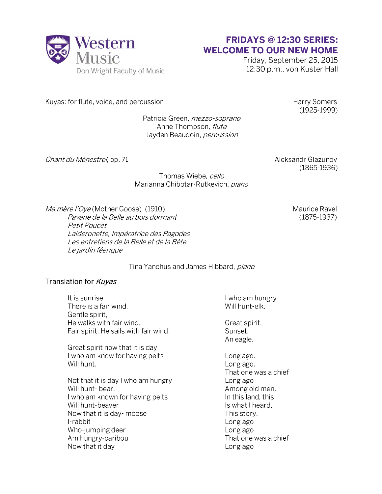

## **FRIDAYS @ 12:30 SERIES: WELCOME TO OUR NEW HOME**

Friday, September 25, 2015 12:30 p.m., von Kuster Hall

Kuyas: for flute, voice, and percussion example of the Harry Somers Harry Somers

(1925-1999)

Patricia Green, *mezzo-soprano* Anne Thompson, *flute* Jayden Beaudoin, *percussion*

*Chant du Ménestrel*, op. 71 Aleksandr Glazunov

(1865-1936)

Thomas Wiebe, *cello* Marianna Chibotar-Rutkevich, *piano*

*Ma mère i'Oye* (Mother Goose) (1910)

*Laideronette, Impératrice des Pagodes Les entretiens de la Belle et de la Bête Le jardin féerique Pavane de la Belle au bois dormant Petit Poucet*

Tina Yanchus and James Hibbard, *piano*

## Translation for *Kuyas*

It is sunrise It is sunrise<br>
There is a fair wind.<br>
There is a fair wind. There is a fair wind. Gentle spirit, He walks with fair wind. The walks with fair wind. Fair spirit, He sails with fair wind. Sunset. An eagle. Great spirit now that it is day I who am know for having pelts Long ago. Will hunt. **Long ago.** Long ago. That one was a chief Not that it is day I who am hungry Long ago Will hunt-bear.  $\blacksquare$ I who am known for having pelts In this land, this Will hunt-beaver **Is what I heard**, Now that it is day-moose This story. I-rabbit Long ago Who-jumping deer **Long ago** Am hungry-caribou and the state of the That one was a chief Now that it day **Long ago** 

Maurice Ravel (1875-1937)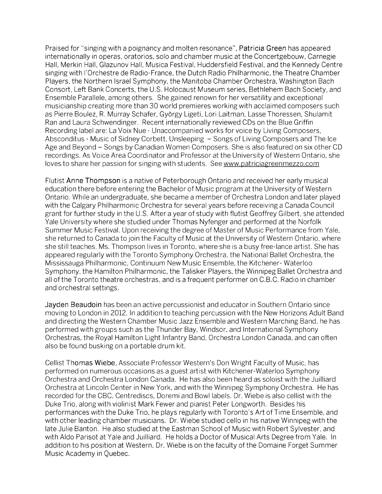Praised for "singing with a poignancy and molten resonance", Patricia Green has appeared internationally in operas, oratorios, solo and chamber music at the Concertgebouw, Carnegie Hall, Merkin Hall, Glazunov Hall, Musica Festival, Huddersfield Festival, and the Kennedy Centre singing with l'Orchestre de Radio-France, the Dutch Radio Philharmonic, the Theatre Chamber Players, the Northern Israel Symphony, the Manitoba Chamber Orchestra, Washington Bach Consort, Left Bank Concerts, the U.S. Holocaust Museum series, Bethlehem Bach Society, and Ensemble Parallele, among others. She gained renown for her versatility and exceptional musicianship creating more than 30 world premieres working with acclaimed composers such as Pierre Boulez, R. Murray Schafer, Gyorgy Ligeti, Lori Laitman, Lasse Thoressen, Shulamit Ran and Laura Schwendinger. Recent internationally reviewed CDs on the Blue Griffin Recording label are: La Voix Nue - Unaccompanied works for voice by Living Composers, Absconditus - Music of Sidney Corbett, Unsleeping - Songs of Living Composers and The Ice Age and Beyond - Songs by Canadian Women Composers. She is also featured on six other CD recordings. As Voice Area Coordinator and Professor at the University of Western Ontario, she loves to share her passion for singing with students. Se[e www.patriciagreenmezzo.com](http://www.patriciagreenmezzo.com/)

Flutist Anne Thompson is a native of Peterborough Ontario and received her early musical education there before entering the Bachelor of Music program at the University of Western Ontario. While an undergraduate, she became a member of Orchestra London and later played with the Calgary Philharmonic Orchestra for several years before receiving a Canada Council grant for further study in the U.S. After a year of study with flutist Geoffrey Gilbert, she attended Yale University where she studied under Thomas Nyfenger and performed at the Norfolk Summer Music Festival. Upon receiving the degree of Master of Music Performance from Yale, she returned to Canada to join the Faculty of Music at the University of Western Ontario, where she still teaches. Ms. Thompson lives in Toronto, where she is a busy free-lance artist. She has appeared regularly with the Toronto Symphony Orchestra, the National Ballet Orchestra, the Mississauga Philharmonic, Continuum New Music Ensemble, the Kitchener- Waterloo Symphony, the Hamilton Philharmonic, the Talisker Players, the Winnipeg Ballet Orchestra and all of the Toronto theatre orchestras, and is a frequent performer on C.B.C. Radio in chamber and orchestral settings.

Jayden Beaudoin has been an active percussionist and educator in Southern Ontario since moving to London in 2012. In addition to teaching percussion with the New Horizons Adult Band and directing the Western Chamber Music Jazz Ensemble and Western Marching Band, he has performed with groups such as the Thunder Bay, Windsor, and International Symphony Orchestras, the Royal Hamilton Light Infantry Band, Orchestra London Canada, and can often also be found busking on a portable drum kit.

Cellist Thomas Wiebe, Associate Professor Western's Don Wright Faculty of Music, has performed on numerous occasions as a guest artist with Kitchener-Waterloo Symphony Orchestra and Orchestra London Canada. He has also been heard as soloist with the Juilliard Orchestra at Lincoln Center in New York, and with the Winnipeg Symphony Orchestra. He has recorded for the CBC, Centrediscs, Doremi and Bowl labels. Dr. Wiebe is also cellist with the Duke Trio, along with violinist Mark Fewer and pianist Peter Longworth. Besides his performances with the Duke Trio, he plays regularly with Toronto's Art of Time Ensemble, and with other leading chamber musicians. Dr. Wiebe studied cello in his native Winnipeg with the late Julie Banton. He also studied at the Eastman School of Music with Robert Sylvester, and with Aldo Parisot at Yale and Juilliard. He holds a Doctor of Musical Arts Degree from Yale. In addition to his position at Western, Dr. Wiebe is on the faculty of the Domaine Forget Summer Music Academy in Quebec.